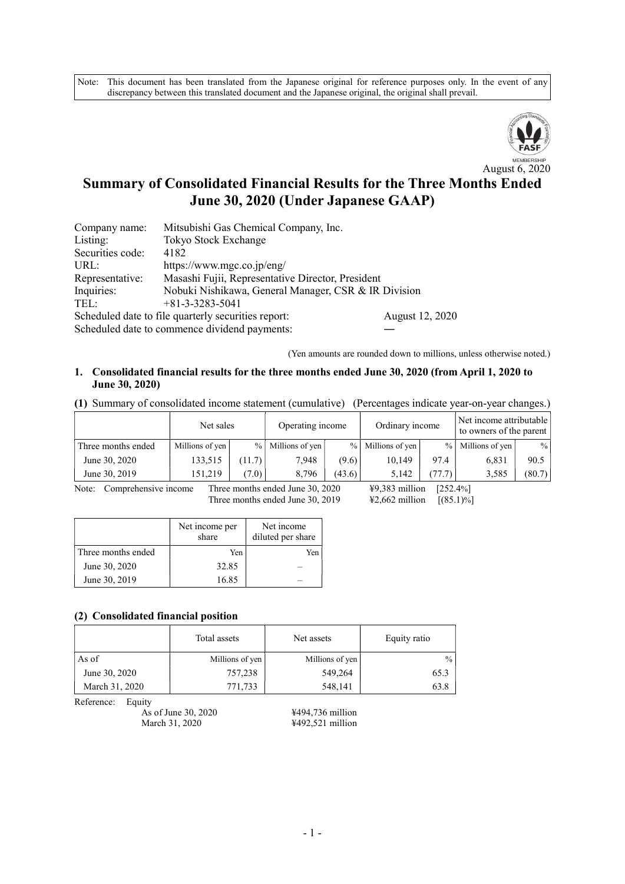Note: This document has been translated from the Japanese original for reference purposes only. In the event of any discrepancy between this translated document and the Japanese original, the original shall prevail.



# Summary of Consolidated Financial Results for the Three Months Ended June 30, 2020 (Under Japanese GAAP)

| Company name:    | Mitsubishi Gas Chemical Company, Inc.                |                 |
|------------------|------------------------------------------------------|-----------------|
| Listing:         | Tokyo Stock Exchange                                 |                 |
| Securities code: | 4182                                                 |                 |
| URL:             | https://www.mgc.co.jp/eng/                           |                 |
| Representative:  | Masashi Fujii, Representative Director, President    |                 |
| Inquiries:       | Nobuki Nishikawa, General Manager, CSR & IR Division |                 |
| TEL:             | $+81-3-3283-5041$                                    |                 |
|                  | Scheduled date to file quarterly securities report:  | August 12, 2020 |
|                  | Cohodulad data to common as dividend normanter       |                 |

Scheduled date to commence dividend payments:

(Yen amounts are rounded down to millions, unless otherwise noted.)

#### 1. Consolidated financial results for the three months ended June 30, 2020 (from April 1, 2020 to June 30, 2020)

(1) Summary of consolidated income statement (cumulative) (Percentages indicate year-on-year changes.)

|                    | Net sales       | Operating income |                   | Ordinary income |                     | Net income attributable<br>to owners of the parent |                 |        |
|--------------------|-----------------|------------------|-------------------|-----------------|---------------------|----------------------------------------------------|-----------------|--------|
| Three months ended | Millions of yen |                  | % Millions of yen |                 | $%$ Millions of yen | $\frac{9}{6}$                                      | Millions of yen | $\%$   |
| June 30, 2020      | 133,515         | 11.7)            | 7.948             | (9.6)           | 10.149              | 97.4                                               | 6,831           | 90.5   |
| June 30, 2019      | 151.219         | (7.0)            | 8.796             | (43.6)          | 5.142               | (77.7)                                             | 3,585           | (80.7) |

Note: Comprehensive income Three months ended June 30, 2020  $\text{49,383 million}$  [252.4%] Three months ended June 30, 2019 ¥2,662 million [(85.1)%]

|                    | Net income per<br>share | Net income<br>diluted per share |
|--------------------|-------------------------|---------------------------------|
| Three months ended | Yen                     | Yen                             |
| June 30, 2020      | 32.85                   |                                 |
| June 30, 2019      | 16.85                   |                                 |

#### (2) Consolidated financial position

|                | Total assets    | Net assets      | Equity ratio |
|----------------|-----------------|-----------------|--------------|
| As of          | Millions of yen | Millions of yen | $\%$         |
| June 30, 2020  | 757,238         | 549,264         | 65.3         |
| March 31, 2020 | 771,733         | 548,141         | 63.8         |

Reference: Equity

As of June 30, 2020<br>March 31, 2020<br>
+492,521 million

 $4492,521$  million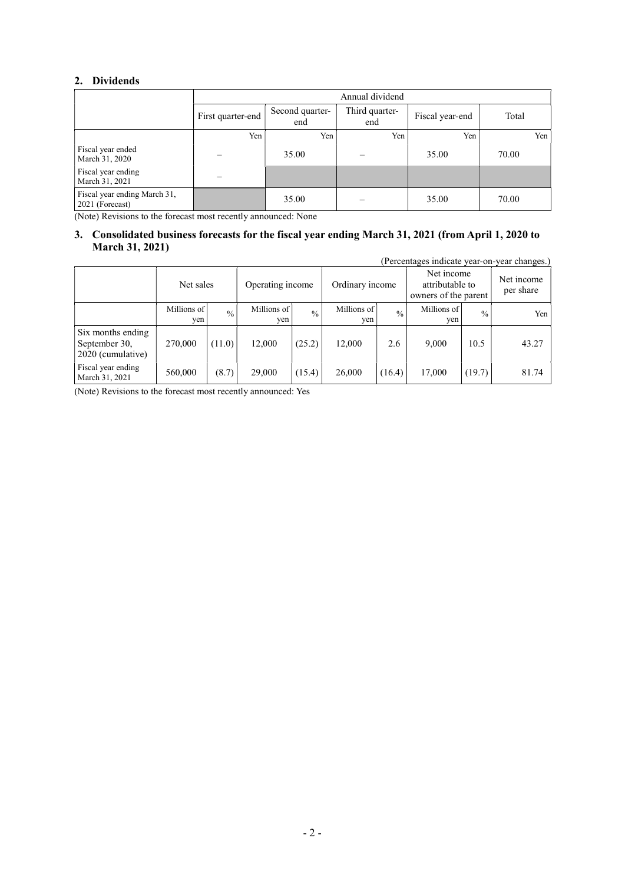### 2. Dividends

 $\overline{1}$ 

|                                                 |                   | Annual dividend        |                       |                 |       |  |  |
|-------------------------------------------------|-------------------|------------------------|-----------------------|-----------------|-------|--|--|
|                                                 | First quarter-end | Second quarter-<br>end | Third quarter-<br>end | Fiscal year-end | Total |  |  |
|                                                 | Yen               | Yen                    | Yen                   | Yen             | Yen   |  |  |
| Fiscal year ended<br>March 31, 2020             |                   | 35.00                  |                       | 35.00           | 70.00 |  |  |
| Fiscal year ending<br>March 31, 2021            |                   |                        |                       |                 |       |  |  |
| Fiscal year ending March 31,<br>2021 (Forecast) |                   | 35.00                  |                       | 35.00           | 70.00 |  |  |

(Note) Revisions to the forecast most recently announced: None

#### 3. Consolidated business forecasts for the fiscal year ending March 31, 2021 (from April 1, 2020 to March 31, 2021)

(Percentages indicate year-on-year changes.)

|                                                         | Net sales          |               | Operating income   |             | Ordinary income    |               | Net income<br>attributable to<br>owners of the parent |               | Net income<br>per share |
|---------------------------------------------------------|--------------------|---------------|--------------------|-------------|--------------------|---------------|-------------------------------------------------------|---------------|-------------------------|
|                                                         | Millions of<br>ven | $\frac{0}{0}$ | Millions of<br>yen | $^{0}/_{0}$ | Millions of<br>yen | $\frac{0}{0}$ | Millions of<br>ven                                    | $\frac{0}{0}$ | Yen                     |
| Six months ending<br>September 30,<br>2020 (cumulative) | 270,000            | (11.0)        | 12,000             | (25.2)      | 12,000             | 2.6           | 9.000                                                 | 10.5          | 43.27                   |
| Fiscal year ending<br>March 31, 2021                    | 560,000            | (8.7)         | 29,000             | (15.4)      | 26,000             | (16.4)        | 17,000                                                | (19.7)        | 81.74                   |

(Note) Revisions to the forecast most recently announced: Yes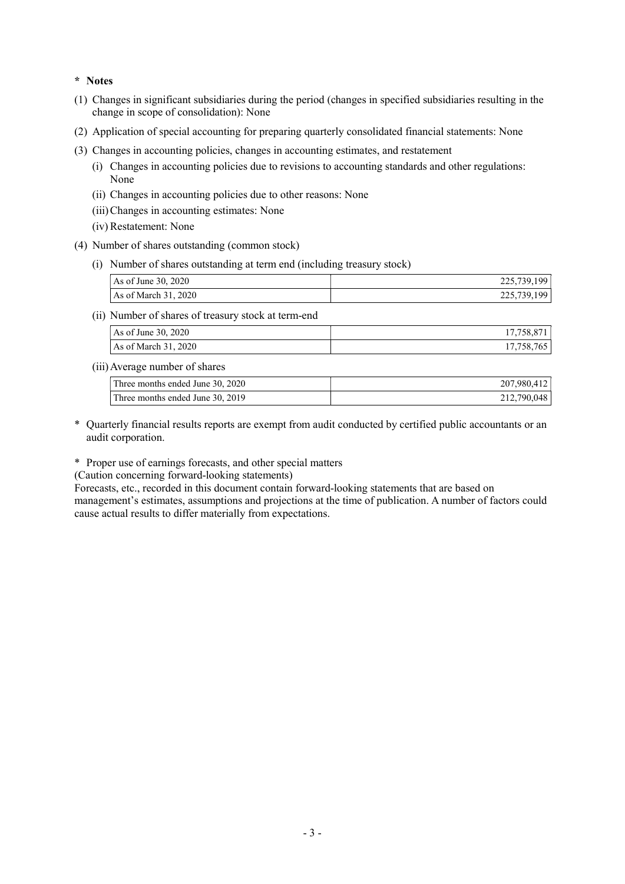#### \* Notes

- (1) Changes in significant subsidiaries during the period (changes in specified subsidiaries resulting in the change in scope of consolidation): None
- (2) Application of special accounting for preparing quarterly consolidated financial statements: None
- (3) Changes in accounting policies, changes in accounting estimates, and restatement
	- (i) Changes in accounting policies due to revisions to accounting standards and other regulations: None
	- (ii) Changes in accounting policies due to other reasons: None
	- (iii) Changes in accounting estimates: None
	- (iv) Restatement: None
- (4) Number of shares outstanding (common stock)
	- (i) Number of shares outstanding at term end (including treasury stock)

| As of June 30, 2020  | 225,739,199 |
|----------------------|-------------|
| As of March 31, 2020 | 225,739,199 |

(ii) Number of shares of treasury stock at term-end

| As of June 30, 2020           | 17,758,871 |
|-------------------------------|------------|
| $\text{As}$ of March 31, 2020 | 17,758,765 |

(iii) Average number of shares

| Three months ended June 30, 2020 | 207,980,412 |
|----------------------------------|-------------|
| Three months ended June 30, 2019 | 212,790,048 |

- \* Quarterly financial results reports are exempt from audit conducted by certified public accountants or an audit corporation.
- \* Proper use of earnings forecasts, and other special matters

(Caution concerning forward-looking statements)

Forecasts, etc., recorded in this document contain forward-looking statements that are based on management's estimates, assumptions and projections at the time of publication. A number of factors could cause actual results to differ materially from expectations.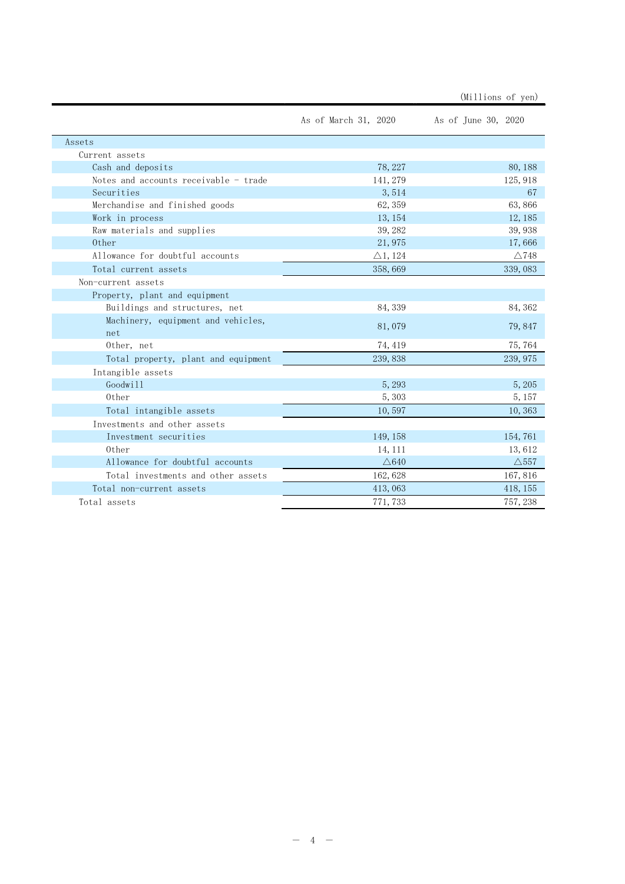|                                           | As of March 31, 2020 | As of June 30, 2020 |
|-------------------------------------------|----------------------|---------------------|
| Assets                                    |                      |                     |
| Current assets                            |                      |                     |
| Cash and deposits                         | 78, 227              | 80, 188             |
| Notes and accounts receivable - trade     | 141, 279             | 125, 918            |
| Securities                                | 3,514                | 67                  |
| Merchandise and finished goods            | 62, 359              | 63,866              |
| Work in process                           | 13, 154              | 12, 185             |
| Raw materials and supplies                | 39, 282              | 39,938              |
| 0ther                                     | 21,975               | 17,666              |
| Allowance for doubtful accounts           | $\triangle$ 1, 124   | $\triangle$ 748     |
| Total current assets                      | 358,669              | 339,083             |
| Non-current assets                        |                      |                     |
| Property, plant and equipment             |                      |                     |
| Buildings and structures, net             | 84, 339              | 84, 362             |
| Machinery, equipment and vehicles,<br>net | 81,079               | 79,847              |
| Other, net                                | 74, 419              | 75,764              |
| Total property, plant and equipment       | 239,838              | 239, 975            |
| Intangible assets                         |                      |                     |
| Goodwill                                  | 5,293                | 5, 205              |
| 0ther                                     | 5, 303               | 5, 157              |
| Total intangible assets                   | 10,597               | 10,363              |
| Investments and other assets              |                      |                     |
| Investment securities                     | 149, 158             | 154,761             |
| 0ther                                     | 14, 111              | 13,612              |
| Allowance for doubtful accounts           | $\triangle$ 640      | $\triangle$ 557     |
| Total investments and other assets        | 162,628              | 167,816             |
| Total non-current assets                  | 413,063              | 418, 155            |
| Total assets                              | 771, 733             | 757, 238            |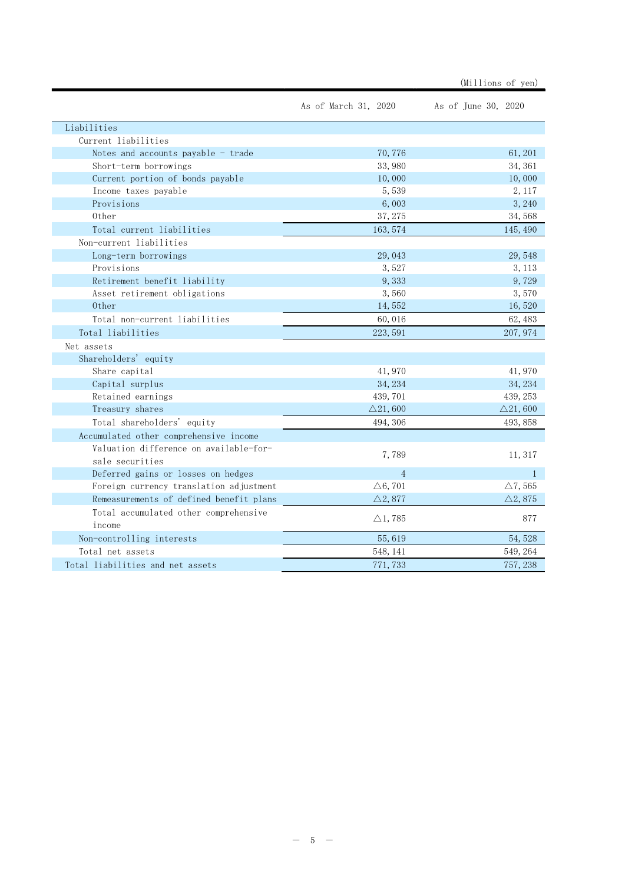|                                                 |                      | (Millions of yen)   |
|-------------------------------------------------|----------------------|---------------------|
|                                                 | As of March 31, 2020 | As of June 30, 2020 |
| Liabilities                                     |                      |                     |
| Current liabilities                             |                      |                     |
| Notes and accounts payable - trade              | 70, 776              | 61, 201             |
| Short-term borrowings                           | 33,980               | 34, 361             |
| Current portion of bonds payable                | 10,000               | 10,000              |
| Income taxes payable                            | 5,539                | 2, 117              |
| Provisions                                      | 6,003                | 3, 240              |
| 0ther                                           | 37, 275              | 34,568              |
| Total current liabilities                       | 163, 574             | 145, 490            |
| Non-current liabilities                         |                      |                     |
| Long-term borrowings                            | 29, 043              | 29,548              |
| Provisions                                      | 3,527                | 3, 113              |
| Retirement benefit liability                    | 9,333                | 9,729               |
| Asset retirement obligations                    | 3,560                | 3,570               |
| 0ther                                           | 14,552               | 16,520              |
| Total non-current liabilities                   | 60,016               | 62, 483             |
| Total liabilities                               | 223, 591             | 207, 974            |
| Net assets                                      |                      |                     |
| Shareholders' equity                            |                      |                     |
| Share capital                                   | 41,970               | 41,970              |
| Capital surplus                                 | 34, 234              | 34, 234             |
| Retained earnings                               | 439,701              | 439, 253            |
| Treasury shares                                 | $\triangle$ 21,600   | $\triangle$ 21,600  |
| Total shareholders' equity                      | 494, 306             | 493, 858            |
| Accumulated other comprehensive income          |                      |                     |
| Valuation difference on available-for-          |                      |                     |
| sale securities                                 | 7,789                | 11, 317             |
| Deferred gains or losses on hedges              | $\overline{4}$       | $\mathbf{1}$        |
| Foreign currency translation adjustment         | $\triangle 6, 701$   | $\triangle$ 7, 565  |
| Remeasurements of defined benefit plans         | $\triangle 2,877$    | $\triangle 2,875$   |
| Total accumulated other comprehensive<br>income | $\triangle$ 1, 785   | 877                 |
| Non-controlling interests                       | 55,619               | 54, 528             |
| Total net assets                                | 548, 141             | 549, 264            |
| Total liabilities and net assets                | 771, 733             | 757, 238            |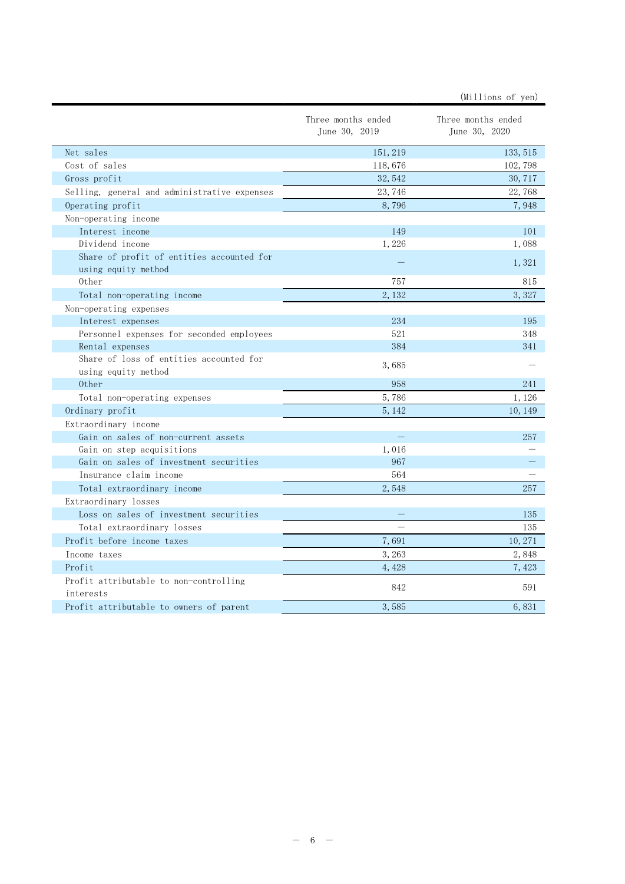|                                                                | Three months ended<br>June 30, 2019 | Three months ended<br>June 30, 2020 |
|----------------------------------------------------------------|-------------------------------------|-------------------------------------|
| Net sales                                                      | 151, 219                            | 133, 515                            |
| Cost of sales                                                  | 118,676                             | 102, 798                            |
| Gross profit                                                   | 32, 542                             | 30, 717                             |
| Selling, general and administrative expenses                   | 23,746                              | 22,768                              |
| Operating profit                                               | 8,796                               | 7,948                               |
| Non-operating income                                           |                                     |                                     |
| Interest income                                                | 149                                 | 101                                 |
| Dividend income                                                | 1,226                               | 1,088                               |
| Share of profit of entities accounted for                      |                                     |                                     |
| using equity method                                            |                                     | 1,321                               |
| 0ther                                                          | 757                                 | 815                                 |
| Total non-operating income                                     | 2,132                               | 3,327                               |
| Non-operating expenses                                         |                                     |                                     |
| Interest expenses                                              | 234                                 | 195                                 |
| Personnel expenses for seconded employees                      | 521                                 | 348                                 |
| Rental expenses                                                | 384                                 | 341                                 |
| Share of loss of entities accounted for<br>using equity method | 3,685                               |                                     |
| 0ther                                                          | 958                                 | 241                                 |
| Total non-operating expenses                                   | 5,786                               | 1,126                               |
| Ordinary profit                                                | 5, 142                              | 10, 149                             |
| Extraordinary income                                           |                                     |                                     |
| Gain on sales of non-current assets                            |                                     | 257                                 |
| Gain on step acquisitions                                      | 1,016                               |                                     |
| Gain on sales of investment securities                         | 967                                 |                                     |
| Insurance claim income                                         | 564                                 |                                     |
| Total extraordinary income                                     | 2,548                               | 257                                 |
| Extraordinary losses                                           |                                     |                                     |
| Loss on sales of investment securities                         |                                     | 135                                 |
| Total extraordinary losses                                     |                                     | 135                                 |
| Profit before income taxes                                     | 7,691                               | 10, 271                             |
| Income taxes                                                   | 3,263                               | 2,848                               |
| Profit                                                         | 4,428                               | 7,423                               |
| Profit attributable to non-controlling<br>interests            | 842                                 | 591                                 |
| Profit attributable to owners of parent                        | 3,585                               | 6,831                               |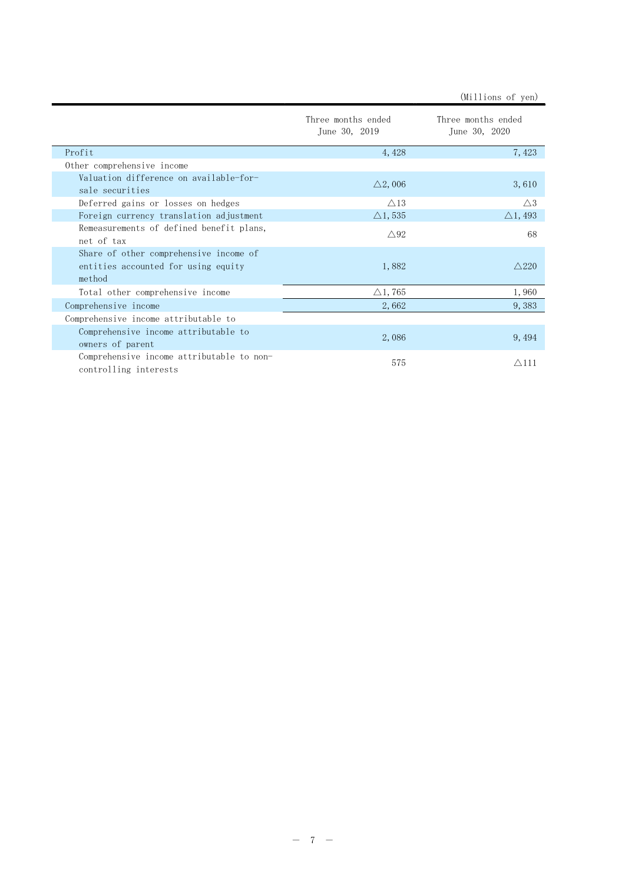|                                                                                         | Three months ended<br>June 30, 2019 | Three months ended<br>June 30, 2020 |
|-----------------------------------------------------------------------------------------|-------------------------------------|-------------------------------------|
| Profit                                                                                  | 4,428                               | 7,423                               |
| Other comprehensive income                                                              |                                     |                                     |
| Valuation difference on available-for-<br>sale securities                               | $\triangle$ 2,006                   | 3,610                               |
| Deferred gains or losses on hedges                                                      | $\triangle$ 13                      | $\triangle 3$                       |
| Foreign currency translation adjustment                                                 | $\triangle$ 1, 535                  | $\triangle$ 1, 493                  |
| Remeasurements of defined benefit plans,<br>net of tax                                  | $\triangle 92$                      | 68                                  |
| Share of other comprehensive income of<br>entities accounted for using equity<br>method | 1,882                               | $\wedge$ 220                        |
| Total other comprehensive income                                                        | $\triangle$ 1, 765                  | 1,960                               |
| Comprehensive income                                                                    | 2,662                               | 9,383                               |
| Comprehensive income attributable to                                                    |                                     |                                     |
| Comprehensive income attributable to<br>owners of parent                                | 2,086                               | 9,494                               |
| Comprehensive income attributable to non-<br>controlling interests                      | 575                                 | $\triangle$ 111                     |

(Millions of yen)

 $- 7 -$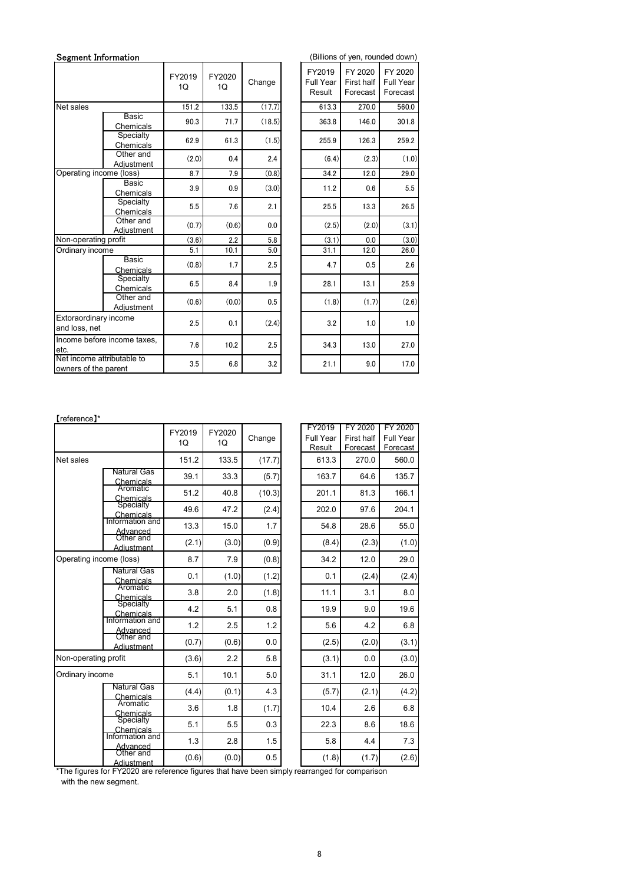| Segment Information                                |                             |                           | (Billions of yen, rounded down) |        |                               |                                   |                                         |
|----------------------------------------------------|-----------------------------|---------------------------|---------------------------------|--------|-------------------------------|-----------------------------------|-----------------------------------------|
|                                                    |                             | FY2019<br>10 <sup>2</sup> | FY2020<br>1Q                    | Change | FY2019<br>Full Year<br>Result | FY 2020<br>First half<br>Forecast | FY 2020<br><b>Full Year</b><br>Forecast |
| Net sales                                          |                             | 151.2                     | 133.5                           | (17.7) | 613.3                         | 270.0                             | 560.0                                   |
|                                                    | Basic<br>Chemicals          | 90.3                      | 71.7                            | (18.5) | 363.8                         | 146.0                             | 301.8                                   |
|                                                    | Specialty<br>Chemicals      | 62.9                      | 61.3                            | (1.5)  | 255.9                         | 126.3                             | 259.2                                   |
|                                                    | Other and<br>Adjustment     | (2.0)                     | 0.4                             | 2.4    | (6.4)                         | (2.3)                             | (1.0)                                   |
| Operating income (loss)                            |                             | 8.7                       | 7.9                             | (0.8)  | 34.2                          | 12.0                              | 29.0                                    |
|                                                    | <b>Basic</b><br>Chemicals   | 3.9                       | 0.9                             | (3.0)  | 11.2                          | 0.6                               | 5.5                                     |
|                                                    | Specialty<br>Chemicals      | 5.5                       | 7.6                             | 2.1    | 25.5                          | 13.3                              | 26.5                                    |
|                                                    | Other and<br>Adjustment     | (0.7)                     | (0.6)                           | 0.0    | (2.5)                         | (2.0)                             | (3.1)                                   |
| Non-operating profit                               |                             | (3.6)                     | 2.2                             | 5.8    | (3.1)                         | 0.0                               | (3.0)                                   |
| Ordinary income                                    |                             | 5.1                       | 10.1                            | 5.0    | 31.1                          | 12.0                              | 26.0                                    |
|                                                    | Basic<br>Chemicals          | (0.8)                     | 1.7                             | 2.5    | 4.7                           | 0.5                               | 2.6                                     |
|                                                    | Specialty<br>Chemicals      | 6.5                       | 8.4                             | 1.9    | 28.1                          | 13.1                              | 25.9                                    |
|                                                    | Other and<br>Adjustment     | (0.6)                     | (0.0)                           | 0.5    | (1.8)                         | (1.7)                             | (2.6)                                   |
| Extoraordinary income<br>and loss, net             |                             | 2.5                       | 0.1                             | (2.4)  | 3.2                           | 1.0                               | 1.0                                     |
| etc.                                               | Income before income taxes, | 7.6                       | 10.2                            | 2.5    | 34.3                          | 13.0                              | 27.0                                    |
| Net income attributable to<br>owners of the parent |                             | 3.5                       | 6.8                             | 3.2    | 21.1                          | 9.0                               | 17.0                                    |

| '2019<br>1Q | FY2020<br>1Q | Change  | FY2019<br>Full Year<br>Result | FY 2020<br>First half<br>Forecast | FY 2020<br><b>Full Year</b><br>Forecast |
|-------------|--------------|---------|-------------------------------|-----------------------------------|-----------------------------------------|
| 151.2       | 133.5        | (17.7)  | 613.3                         | 270.0                             | 560.0                                   |
| 90.3        | 71.7         | (18.5)  | 363.8                         | 146.0                             | 301.8                                   |
| 62.9        | 61.3         | (1.5)   | 255.9                         | 126.3                             | 259.2                                   |
| (2.0)       | 0.4          | 2.4     | (6.4)                         | (2.3)                             | (1.0)                                   |
| 8.7         | 7.9          | (0.8)   | 34.2                          | 12.0                              | 29.0                                    |
| 3.9         | 0.9          | (3.0)   | 11.2                          | 0.6                               | 5.5                                     |
| $5.5\,$     | 7.6          | 2.1     | 25.5                          | 13.3                              | 26.5                                    |
| (0.7)       | (0.6)        | 0.0     | (2.5)                         | (2.0)                             | (3.1)                                   |
| (3.6)       | 2.2          | 5.8     | (3.1)                         | $0.0\,$                           | (3.0)                                   |
| 5.1         | 10.1         | 5.0     | 31.1                          | 12.0                              | 26.0                                    |
| (0.8)       | 1.7          | 2.5     | 4.7                           | 0.5                               | 2.6                                     |
| 6.5         | 8.4          | 1.9     | 28.1                          | 13.1                              | 25.9                                    |
| (0.6)       | (0.0)        | $0.5\,$ | (1.8)                         | (1.7)                             | (2.6)                                   |
| $2.5\,$     | 0.1          | (2.4)   | 3.2                           | 1.0                               | 1.0                                     |
| 7.6         | 10.2         | 2.5     | 34.3                          | 13.0                              | 27.0                                    |
| 3.5         | 6.8          | 3.2     | 21.1                          | 9.0                               | 17.0                                    |

|                                                    | paoio<br>Chemicals                                                                            | 3.9     | 0.9    | (3.0)   | 11.2                | 0.6                    | 5.5                   |
|----------------------------------------------------|-----------------------------------------------------------------------------------------------|---------|--------|---------|---------------------|------------------------|-----------------------|
|                                                    | Specialty<br>Chemicals                                                                        | $5.5\,$ | 7.6    | 2.1     | 25.5                | 13.3                   | 26.5                  |
|                                                    | Other and                                                                                     | (0.7)   | (0.6)  | $0.0\,$ | (2.5)               | (2.0)                  | (3.1)                 |
| Non-operating profit                               | Adjustment                                                                                    | (3.6)   | 2.2    | $5.8\,$ | (3.1)               | $0.0\,$                | (3.0)                 |
| Ordinary income                                    |                                                                                               | 5.1     | 10.1   | $5.0\,$ | 31.1                | 12.0                   | 26.0                  |
|                                                    | Basic<br>Chemicals                                                                            | (0.8)   | 1.7    | 2.5     | 4.7                 | 0.5                    | 2.6                   |
|                                                    | Specialty<br>Chemicals                                                                        | 6.5     | 8.4    | 1.9     | 28.1                | 13.1                   | 25.9                  |
|                                                    | Other and<br>Adjustment                                                                       | (0.6)   | (0.0)  | 0.5     | (1.8)               | (1.7)                  | (2.6)                 |
| Extoraordinary income                              |                                                                                               | 2.5     | 0.1    | (2.4)   | 3.2                 | 1.0                    | 1.0                   |
| and loss, net                                      | Income before income taxes,                                                                   |         |        |         |                     |                        |                       |
| etc.                                               |                                                                                               | 7.6     | 10.2   | 2.5     | 34.3                | 13.0                   | 27.0                  |
| Net income attributable to<br>owners of the parent |                                                                                               | 3.5     | 6.8    | $3.2\,$ | 21.1                | 9.0                    | 17.0                  |
| [reference]*                                       |                                                                                               | FY2019  | FY2020 |         | FY2019              | FY 2020                | FY 2020               |
|                                                    |                                                                                               | 1Q      | 1Q     | Change  | Full Year<br>Result | First half<br>Forecast | Full Year<br>Forecast |
| Net sales                                          |                                                                                               | 151.2   | 133.5  | (17.7)  | 613.3               | 270.0                  | 560.0                 |
|                                                    | <b>Natural Gas</b><br>Chemicals                                                               | 39.1    | 33.3   | (5.7)   | 163.7               | 64.6                   | 135.7                 |
|                                                    | Aromatic<br>Chemicals                                                                         | 51.2    | 40.8   | (10.3)  | 201.1               | 81.3                   | 166.1                 |
|                                                    | Specialty                                                                                     | 49.6    | 47.2   | (2.4)   | 202.0               | 97.6                   | 204.1                 |
|                                                    | Chemicals<br>Information and                                                                  | 13.3    | 15.0   | 1.7     | 54.8                | 28.6                   | 55.0                  |
|                                                    | Advanced<br>Other and<br>Adjustment                                                           | (2.1)   | (3.0)  | (0.9)   | (8.4)               | (2.3)                  | (1.0)                 |
| Operating income (loss)                            |                                                                                               | 8.7     | 7.9    | (0.8)   | 34.2                | 12.0                   | 29.0                  |
|                                                    | <b>Natural Gas</b>                                                                            | 0.1     | (1.0)  | (1.2)   | 0.1                 | (2.4)                  | (2.4)                 |
|                                                    | Chemicals<br>Aromatic<br>Chemicals                                                            | 3.8     | 2.0    | (1.8)   | 11.1                | 3.1                    | 8.0                   |
|                                                    | Specialty                                                                                     | 4.2     | 5.1    | $0.8\,$ | 19.9                | 9.0                    | 19.6                  |
|                                                    | Chemicals<br>Information and                                                                  | $1.2$   | 2.5    | 1.2     | 5.6                 | 4.2                    | 6.8                   |
|                                                    | Advanced<br>Other and                                                                         | (0.7)   | (0.6)  | 0.0     | (2.5)               | (2.0)                  | (3.1)                 |
| Non-operating profit                               | <b>Adiustment</b>                                                                             | (3.6)   | 2.2    | 5.8     | (3.1)               | 0.0                    | (3.0)                 |
| Ordinary income                                    |                                                                                               | 5.1     | 10.1   | $5.0\,$ | 31.1                | 12.0                   | 26.0                  |
|                                                    | <b>Natural Gas</b>                                                                            | (4.4)   | (0.1)  | 4.3     | (5.7)               | (2.1)                  | (4.2)                 |
|                                                    | Chemicals<br>Aromatic<br>Chemicals                                                            | 3.6     | 1.8    | (1.7)   | 10.4                | 2.6                    | $6.8\,$               |
|                                                    | Specialty                                                                                     | 5.1     | 5.5    | 0.3     | 22.3                | 8.6                    | 18.6                  |
|                                                    | Chemicals<br>Information and                                                                  | 1.3     | 2.8    | $1.5\,$ | 5.8                 | 4.4                    | $7.3$                 |
|                                                    | Advanced<br>Other and<br><b>Adiustment</b>                                                    | (0.6)   | (0.0)  | 0.5     | (1.8)               | (1.7)                  | (2.6)                 |
|                                                    | *The figures for FY2020 are reference figures that have been simply rearranged for comparison |         |        |         |                     |                        |                       |
| with the new segment.                              |                                                                                               |         |        |         |                     |                        |                       |
|                                                    |                                                                                               |         |        |         |                     |                        |                       |
|                                                    |                                                                                               |         |        |         |                     |                        |                       |
|                                                    |                                                                                               |         |        |         |                     |                        |                       |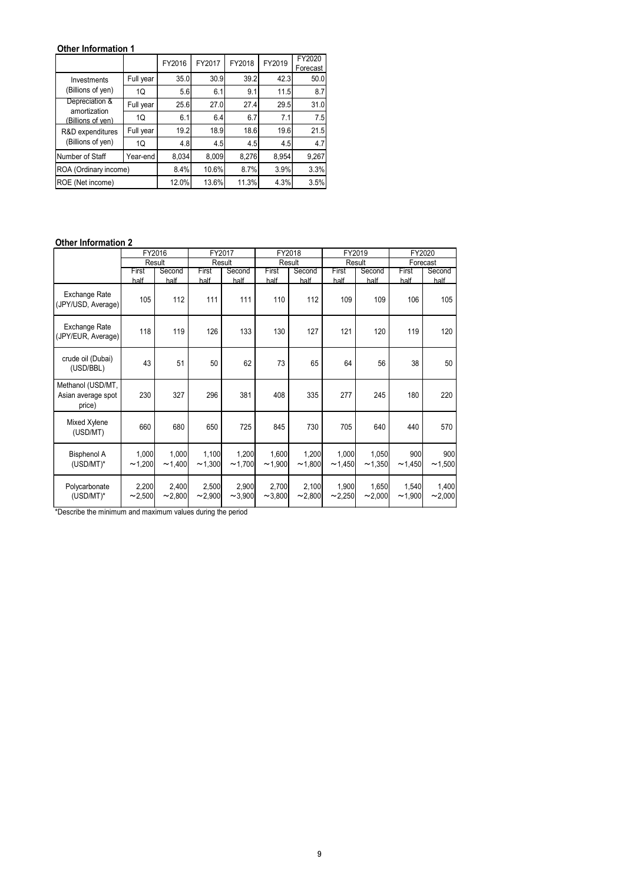## Other Information 1

| Other Information 1                                               |                  |             |                  |             |                  |                    |                  |             |             |                    |
|-------------------------------------------------------------------|------------------|-------------|------------------|-------------|------------------|--------------------|------------------|-------------|-------------|--------------------|
|                                                                   |                  |             | FY2017           | FY2018      |                  | FY2020             |                  |             |             |                    |
|                                                                   |                  | FY2016      |                  |             | FY2019           |                    |                  |             |             |                    |
| Investments                                                       | Full year        | 35.0        | 30.9             | 39.2        | 42.3             | Forecast<br>$50.0$ |                  |             |             |                    |
| (Billions of yen)                                                 | 1Q               | 5.6         | 6.1              | 9.1         | 11.5             | 8.7                |                  |             |             |                    |
| Depreciation &                                                    | Full year        | 25.6        | 27.0             | 27.4        | 29.5             | 31.0               |                  |             |             |                    |
| amortization<br>(Billions of ven)                                 | 1Q               | 6.1         | 6.4              | 6.7         | 7.1              | 7.5                |                  |             |             |                    |
| R&D expenditures                                                  | Full year        | 19.2        | 18.9             | 18.6        | 19.6             | 21.5               |                  |             |             |                    |
| (Billions of yen)                                                 | 1Q               | 4.8         | 4.5              | 4.5         | 4.5              | 4.7                |                  |             |             |                    |
| Number of Staff                                                   | Year-end         | 8,034       | 8,009            | 8,276       | 8,954            | 9,267              |                  |             |             |                    |
|                                                                   |                  | 8.4%        | 10.6%            | 8.7%        | 3.9%             | 3.3%               |                  |             |             |                    |
|                                                                   |                  | 12.0%       | 13.6%            | 11.3%       | 4.3%             | 3.5%               |                  |             |             |                    |
| ROA (Ordinary income)<br>ROE (Net income)                         |                  |             |                  |             |                  |                    |                  |             |             |                    |
|                                                                   |                  |             |                  |             |                  |                    |                  |             |             |                    |
|                                                                   |                  |             |                  |             |                  |                    |                  |             |             |                    |
|                                                                   |                  |             |                  |             |                  |                    |                  |             |             |                    |
|                                                                   | FY2016<br>Result |             | FY2017<br>Result |             | FY2018<br>Result |                    | FY2019<br>Result |             |             | FY2020<br>Forecast |
|                                                                   | First            | Second      | First            | Second      | First            | Second             | First            | Second      | First       | Second             |
| <b>Other Information 2</b><br>Exchange Rate<br>(JPY/USD, Average) | half<br>105      | half<br>112 | half<br>111      | half<br>111 | half<br>110      | half<br>112        | half<br>109      | half<br>109 | half<br>106 | half<br>105        |

## **Other Information 2**

| <b>Other Information 1</b>          |                  |                 |                  |                 |                 |                    |                  |                 |                 |                    |
|-------------------------------------|------------------|-----------------|------------------|-----------------|-----------------|--------------------|------------------|-----------------|-----------------|--------------------|
|                                     |                  | FY2016          | FY2017           | FY2018          | FY2019          | FY2020<br>Forecast |                  |                 |                 |                    |
| Investments                         | Full year        | 35.0            | 30.9             | 39.2            | 42.3            | 50.0               |                  |                 |                 |                    |
| (Billions of yen)                   | 1Q               | 5.6             | 6.1              | 9.1             | 11.5            | 8.7                |                  |                 |                 |                    |
| Depreciation &<br>amortization      | Full year        | 25.6            | 27.0             | 27.4            | 29.5            | 31.0               |                  |                 |                 |                    |
| (Billions of ven)                   | 1Q               | 6.1             | 6.4              | 6.7             | 7.1             | 7.5                |                  |                 |                 |                    |
| R&D expenditures                    | Full year        | 19.2            | 18.9             | 18.6            | 19.6            | 21.5               |                  |                 |                 |                    |
| (Billions of yen)                   | 1Q               | 4.8             | 4.5              | 4.5             | 4.5             | 4.7                |                  |                 |                 |                    |
| Number of Staff                     | Year-end         | 8,034           | 8,009            | 8,276           | 8,954           | 9,267              |                  |                 |                 |                    |
| ROA (Ordinary income)               |                  | 8.4%            | 10.6%            | 8.7%            | 3.9%            | 3.3%<br>3.5%       |                  |                 |                 |                    |
| ROE (Net income)                    |                  | 12.0%           | 13.6%            | 11.3%           | 4.3%            |                    |                  |                 |                 |                    |
|                                     |                  |                 |                  |                 |                 |                    |                  |                 |                 |                    |
|                                     |                  |                 |                  |                 |                 |                    |                  |                 |                 |                    |
|                                     |                  |                 |                  |                 |                 |                    |                  |                 |                 |                    |
|                                     |                  |                 |                  |                 |                 |                    |                  |                 |                 |                    |
| <b>Other Information 2</b>          |                  |                 |                  |                 |                 |                    |                  |                 |                 |                    |
|                                     | FY2016<br>Result |                 | FY2017<br>Result |                 |                 | FY2018<br>Result   | FY2019<br>Result |                 |                 | FY2020<br>Forecast |
|                                     | First            | Second          | First            | Second          | First           | Second             | First            | Second          | First           | Second             |
|                                     | half             | half            | half             | half            | half            | half               | half             | half            | half            | half               |
| Exchange Rate<br>(JPY/USD, Average) | 105              | 112             | 111              | 111             | 110             | 112                | 109              | 109             | 106             | 105                |
|                                     |                  |                 |                  |                 |                 |                    |                  |                 |                 |                    |
| Exchange Rate                       | 118              | 119             | 126              | 133             | 130             | 127                | 121              | 120             | 119             | 120                |
| (JPY/EUR, Average)                  |                  |                 |                  |                 |                 |                    |                  |                 |                 |                    |
| crude oil (Dubai)                   |                  |                 |                  |                 |                 |                    |                  |                 |                 |                    |
| (USD/BBL)                           | 43               | 51              | 50               | 62              | 73              | 65                 | 64               | 56              | 38              | 50                 |
| Methanol (USD/MT,                   |                  |                 |                  |                 |                 |                    |                  |                 |                 |                    |
| Asian average spot                  | 230              | 327             | 296              | 381             | 408             | 335                | 277              | 245             | 180             | 220                |
| price)                              |                  |                 |                  |                 |                 |                    |                  |                 |                 |                    |
| Mixed Xylene                        | 660              | 680             | 650              | 725             | 845             | 730                | 705              | 640             | 440             | 570                |
| (USD/MT)                            |                  |                 |                  |                 |                 |                    |                  |                 |                 |                    |
|                                     |                  | 1,000           |                  | 1,200           | 1,600           |                    | 1,000            | 1,050           | 900             | 900                |
| <b>Bisphenol A</b><br>$(USD/MT)^*$  | 1,000<br>~1,200  | ~1,400          | 1,100<br>~1,300  | ~1,700          | ~1,900          | 1,200<br>~1,800    | ~1,450           | ~1,350          | ~1,450          | ~1,500             |
|                                     |                  |                 |                  |                 |                 |                    |                  |                 |                 |                    |
| Polycarbonate<br>$(USD/MT)^*$       | 2,200<br>~2,500  | 2,400<br>~2,800 | 2,500<br>~2,900  | 2,900<br>~1,000 | 2,700<br>~2,800 | 2,100<br>~2,800    | 1,900<br>~2,250  | 1,650<br>~2,000 | 1,540<br>~1,900 | 1,400<br>~2,000    |

\*Describe the minimum and maximum values during the period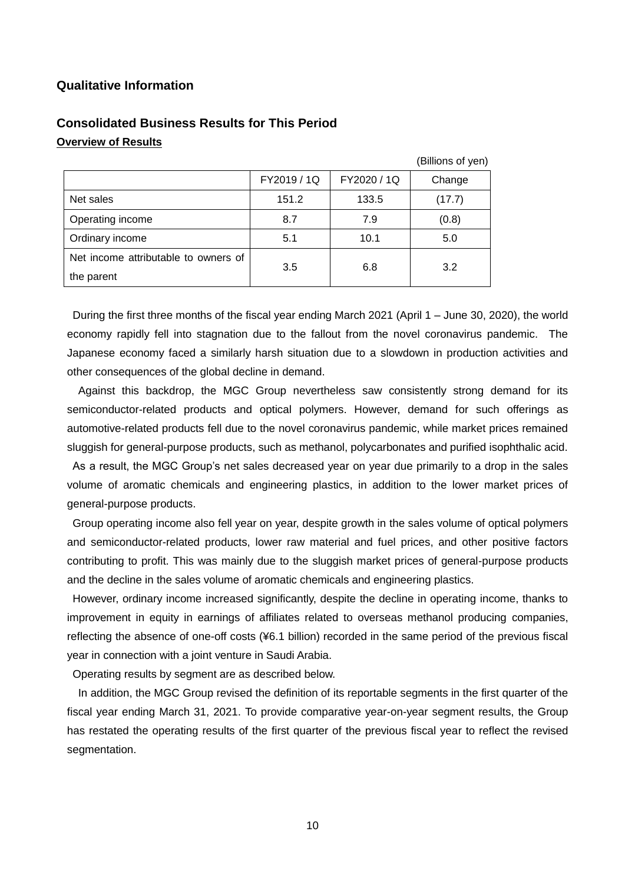## **Qualitative Information**

|                                      |             |             | (Billions of yen) |
|--------------------------------------|-------------|-------------|-------------------|
|                                      | FY2019 / 1Q | FY2020 / 1Q | Change            |
| Net sales                            | 151.2       | 133.5       | (17.7)            |
| Operating income                     | 8.7         | 7.9         | (0.8)             |
| Ordinary income                      | 5.1         | 10.1        | 5.0               |
| Net income attributable to owners of |             |             | 3.2               |
| the parent                           | 3.5         | 6.8         |                   |

## **Consolidated Business Results for This Period Overview of Results**

During the first three months of the fiscal year ending March 2021 (April 1 – June 30, 2020), the world economy rapidly fell into stagnation due to the fallout from the novel coronavirus pandemic. The Japanese economy faced a similarly harsh situation due to a slowdown in production activities and other consequences of the global decline in demand.

Against this backdrop, the MGC Group nevertheless saw consistently strong demand for its semiconductor-related products and optical polymers. However, demand for such offerings as automotive-related products fell due to the novel coronavirus pandemic, while market prices remained sluggish for general-purpose products, such as methanol, polycarbonates and purified isophthalic acid.

As a result, the MGC Group's net sales decreased year on year due primarily to a drop in the sales volume of aromatic chemicals and engineering plastics, in addition to the lower market prices of general-purpose products.

Group operating income also fell year on year, despite growth in the sales volume of optical polymers and semiconductor-related products, lower raw material and fuel prices, and other positive factors contributing to profit. This was mainly due to the sluggish market prices of general-purpose products and the decline in the sales volume of aromatic chemicals and engineering plastics.

However, ordinary income increased significantly, despite the decline in operating income, thanks to improvement in equity in earnings of affiliates related to overseas methanol producing companies, reflecting the absence of one-off costs (¥6.1 billion) recorded in the same period of the previous fiscal year in connection with a joint venture in Saudi Arabia.

Operating results by segment are as described below.

In addition, the MGC Group revised the definition of its reportable segments in the first quarter of the fiscal year ending March 31, 2021. To provide comparative year-on-year segment results, the Group has restated the operating results of the first quarter of the previous fiscal year to reflect the revised segmentation.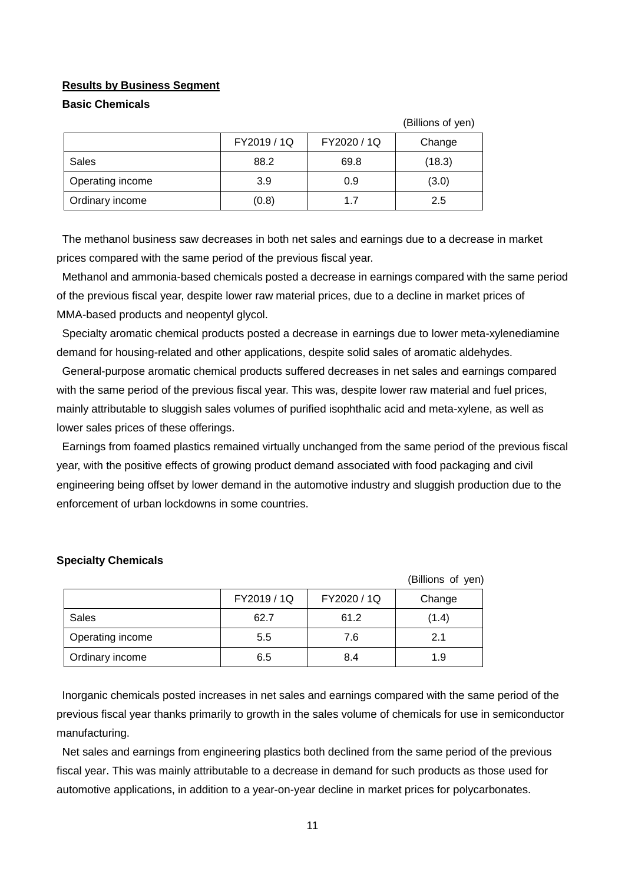#### **Results by Business Segment**

#### **Basic Chemicals**

|                  |             |             | (Billions of yen) |
|------------------|-------------|-------------|-------------------|
|                  | FY2019 / 1Q | FY2020 / 1Q | Change            |
| Sales            | 88.2        | 69.8        | (18.3)            |
| Operating income | 3.9         | 0.9         | (3.0)             |
| Ordinary income  | (0.8)       | 17          | 2.5               |

The methanol business saw decreases in both net sales and earnings due to a decrease in market prices compared with the same period of the previous fiscal year.

Methanol and ammonia-based chemicals posted a decrease in earnings compared with the same period of the previous fiscal year, despite lower raw material prices, due to a decline in market prices of MMA-based products and neopentyl glycol.

Specialty aromatic chemical products posted a decrease in earnings due to lower meta-xylenediamine demand for housing-related and other applications, despite solid sales of aromatic aldehydes.

General-purpose aromatic chemical products suffered decreases in net sales and earnings compared with the same period of the previous fiscal year. This was, despite lower raw material and fuel prices, mainly attributable to sluggish sales volumes of purified isophthalic acid and meta-xylene, as well as lower sales prices of these offerings.

Earnings from foamed plastics remained virtually unchanged from the same period of the previous fiscal year, with the positive effects of growing product demand associated with food packaging and civil engineering being offset by lower demand in the automotive industry and sluggish production due to the enforcement of urban lockdowns in some countries.

|                  |             |             | (Billions of yen) |
|------------------|-------------|-------------|-------------------|
|                  | FY2019 / 1Q | FY2020 / 1Q | Change            |
| Sales            | 62.7        | 61.2        | (1.4)             |
| Operating income | 5.5         | 7.6         | 2.1               |
| Ordinary income  | 6.5         | 8.4         | 1.9               |

#### **Specialty Chemicals**

Inorganic chemicals posted increases in net sales and earnings compared with the same period of the previous fiscal year thanks primarily to growth in the sales volume of chemicals for use in semiconductor manufacturing.

Net sales and earnings from engineering plastics both declined from the same period of the previous fiscal year. This was mainly attributable to a decrease in demand for such products as those used for automotive applications, in addition to a year-on-year decline in market prices for polycarbonates.